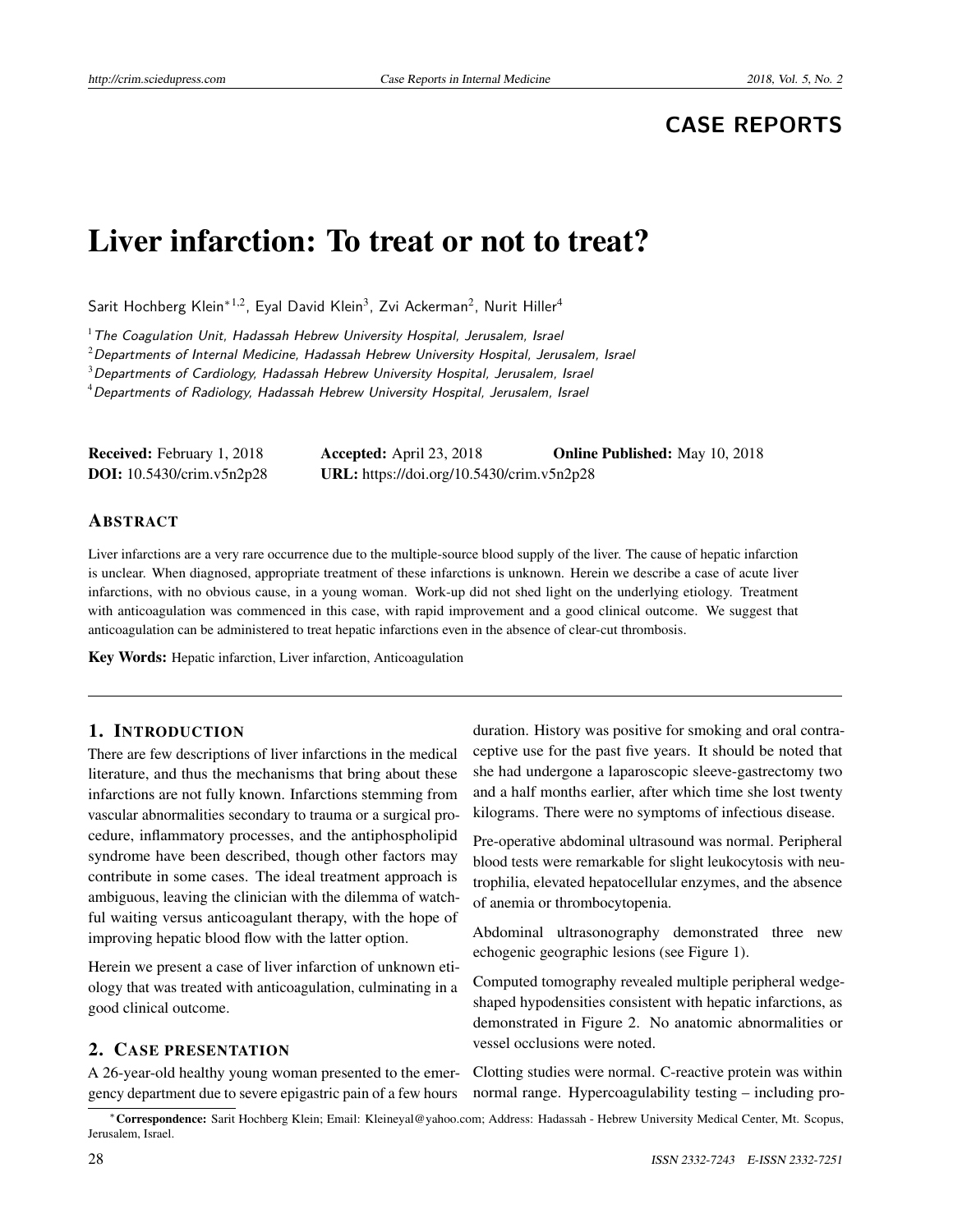# **CASE REPORTS**

# Liver infarction: To treat or not to treat?

Sarit Hochberg Klein $^{\ast1,2}$ , Eyal David Klein $^3$ , Zvi Ackerman $^2$ , Nurit Hiller $^4$ 

 $1$ The Coagulation Unit, Hadassah Hebrew University Hospital, Jerusalem, Israel

 $2$ Departments of Internal Medicine, Hadassah Hebrew University Hospital, Jerusalem, Israel

<sup>3</sup>Departments of Cardiology, Hadassah Hebrew University Hospital, Jerusalem, Israel

<sup>4</sup> Departments of Radiology, Hadassah Hebrew University Hospital, Jerusalem, Israel

| <b>Received:</b> February 1, 2018 | <b>Accepted:</b> April 23, 2018           | <b>Online Published:</b> May 10, 2018 |
|-----------------------------------|-------------------------------------------|---------------------------------------|
| <b>DOI:</b> 10.5430/crim.v5n2p28  | URL: https://doi.org/10.5430/crim.v5n2p28 |                                       |

#### ABSTRACT

Liver infarctions are a very rare occurrence due to the multiple-source blood supply of the liver. The cause of hepatic infarction is unclear. When diagnosed, appropriate treatment of these infarctions is unknown. Herein we describe a case of acute liver infarctions, with no obvious cause, in a young woman. Work-up did not shed light on the underlying etiology. Treatment with anticoagulation was commenced in this case, with rapid improvement and a good clinical outcome. We suggest that anticoagulation can be administered to treat hepatic infarctions even in the absence of clear-cut thrombosis.

Key Words: Hepatic infarction, Liver infarction, Anticoagulation

#### 1. INTRODUCTION

There are few descriptions of liver infarctions in the medical literature, and thus the mechanisms that bring about these infarctions are not fully known. Infarctions stemming from vascular abnormalities secondary to trauma or a surgical procedure, inflammatory processes, and the antiphospholipid syndrome have been described, though other factors may contribute in some cases. The ideal treatment approach is ambiguous, leaving the clinician with the dilemma of watchful waiting versus anticoagulant therapy, with the hope of improving hepatic blood flow with the latter option.

Herein we present a case of liver infarction of unknown etiology that was treated with anticoagulation, culminating in a good clinical outcome.

#### 2. CASE PRESENTATION

A 26-year-old healthy young woman presented to the emergency department due to severe epigastric pain of a few hours Pre-operative abdominal ultrasound was normal. Peripheral blood tests were remarkable for slight leukocytosis with neutrophilia, elevated hepatocellular enzymes, and the absence of anemia or thrombocytopenia.

Abdominal ultrasonography demonstrated three new echogenic geographic lesions (see Figure [1\)](#page-1-0).

Computed tomography revealed multiple peripheral wedgeshaped hypodensities consistent with hepatic infarctions, as demonstrated in Figure [2.](#page-1-1) No anatomic abnormalities or vessel occlusions were noted.

Clotting studies were normal. C-reactive protein was within normal range. Hypercoagulability testing – including pro-

duration. History was positive for smoking and oral contraceptive use for the past five years. It should be noted that she had undergone a laparoscopic sleeve-gastrectomy two and a half months earlier, after which time she lost twenty kilograms. There were no symptoms of infectious disease.

<sup>∗</sup>Correspondence: Sarit Hochberg Klein; Email: Kleineyal@yahoo.com; Address: Hadassah - Hebrew University Medical Center, Mt. Scopus, Jerusalem, Israel.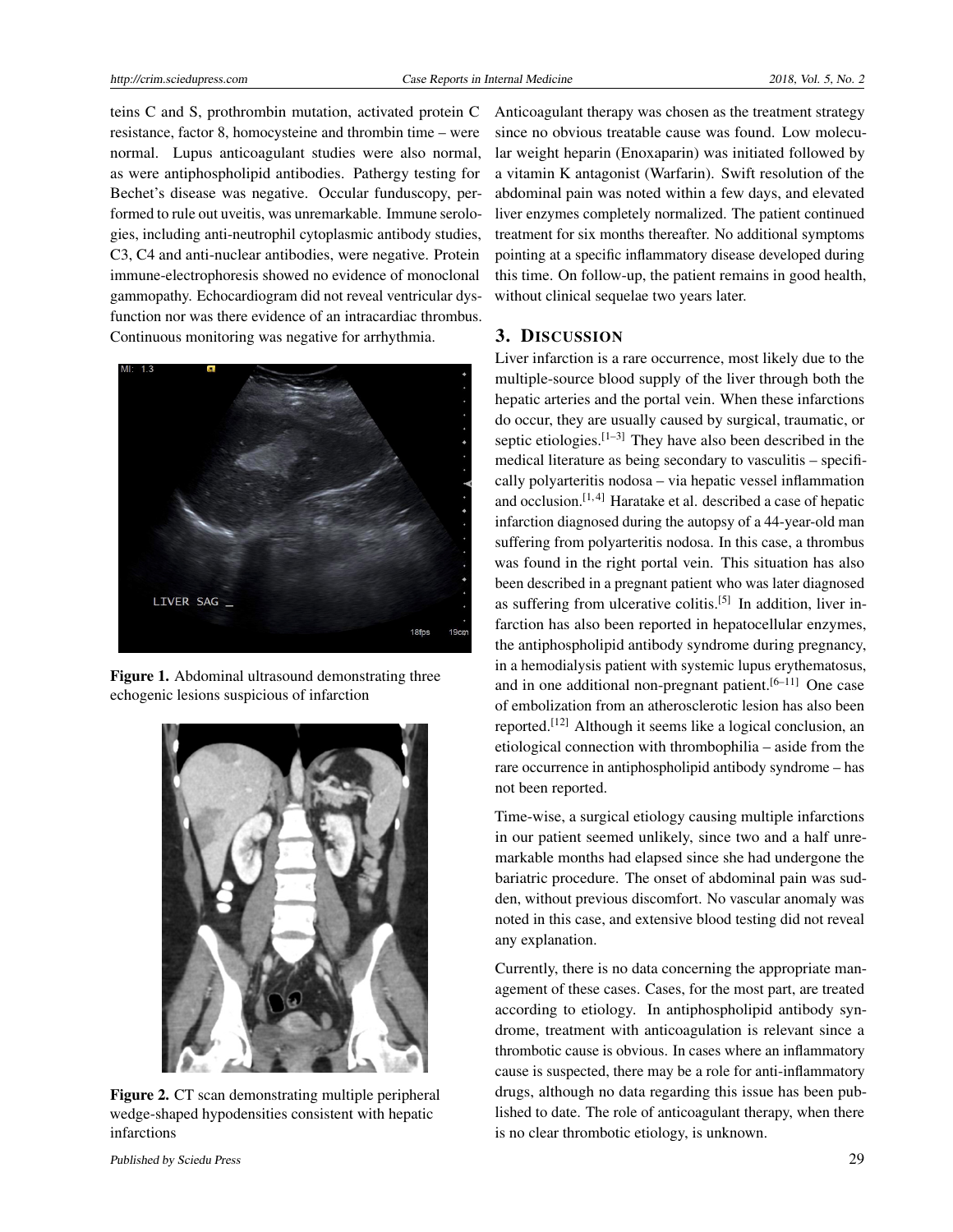teins C and S, prothrombin mutation, activated protein C resistance, factor 8, homocysteine and thrombin time – were normal. Lupus anticoagulant studies were also normal, as were antiphospholipid antibodies. Pathergy testing for Bechet's disease was negative. Occular funduscopy, performed to rule out uveitis, was unremarkable. Immune serologies, including anti-neutrophil cytoplasmic antibody studies, C3, C4 and anti-nuclear antibodies, were negative. Protein immune-electrophoresis showed no evidence of monoclonal gammopathy. Echocardiogram did not reveal ventricular dysfunction nor was there evidence of an intracardiac thrombus. Continuous monitoring was negative for arrhythmia.



Figure 1. Abdominal ultrasound demonstrating three echogenic lesions suspicious of infarction

<span id="page-1-0"></span>

Figure 2. CT scan demonstrating multiple peripheral wedge-shaped hypodensities consistent with hepatic infarctions

Anticoagulant therapy was chosen as the treatment strategy since no obvious treatable cause was found. Low molecular weight heparin (Enoxaparin) was initiated followed by a vitamin K antagonist (Warfarin). Swift resolution of the abdominal pain was noted within a few days, and elevated liver enzymes completely normalized. The patient continued treatment for six months thereafter. No additional symptoms pointing at a specific inflammatory disease developed during this time. On follow-up, the patient remains in good health, without clinical sequelae two years later.

#### 3. DISCUSSION

Liver infarction is a rare occurrence, most likely due to the multiple-source blood supply of the liver through both the hepatic arteries and the portal vein. When these infarctions do occur, they are usually caused by surgical, traumatic, or septic etiologies.<sup>[\[1](#page-2-0)-3]</sup> They have also been described in the medical literature as being secondary to vasculitis – specifically polyarteritis nodosa – via hepatic vessel inflammation and occlusion.[\[1,](#page-2-0) [4\]](#page-2-2) Haratake et al. described a case of hepatic infarction diagnosed during the autopsy of a 44-year-old man suffering from polyarteritis nodosa. In this case, a thrombus was found in the right portal vein. This situation has also been described in a pregnant patient who was later diagnosed as suffering from ulcerative colitis.<sup>[\[5\]](#page-2-3)</sup> In addition, liver infarction has also been reported in hepatocellular enzymes, the antiphospholipid antibody syndrome during pregnancy, in a hemodialysis patient with systemic lupus erythematosus, and in one additional non-pregnant patient.<sup>[\[6–](#page-2-4)[11\]](#page-2-5)</sup> One case of embolization from an atherosclerotic lesion has also been reported.[\[12\]](#page-2-6) Although it seems like a logical conclusion, an etiological connection with thrombophilia – aside from the rare occurrence in antiphospholipid antibody syndrome – has not been reported.

Time-wise, a surgical etiology causing multiple infarctions in our patient seemed unlikely, since two and a half unremarkable months had elapsed since she had undergone the bariatric procedure. The onset of abdominal pain was sudden, without previous discomfort. No vascular anomaly was noted in this case, and extensive blood testing did not reveal any explanation.

<span id="page-1-1"></span>Currently, there is no data concerning the appropriate management of these cases. Cases, for the most part, are treated according to etiology. In antiphospholipid antibody syndrome, treatment with anticoagulation is relevant since a thrombotic cause is obvious. In cases where an inflammatory cause is suspected, there may be a role for anti-inflammatory drugs, although no data regarding this issue has been published to date. The role of anticoagulant therapy, when there is no clear thrombotic etiology, is unknown.